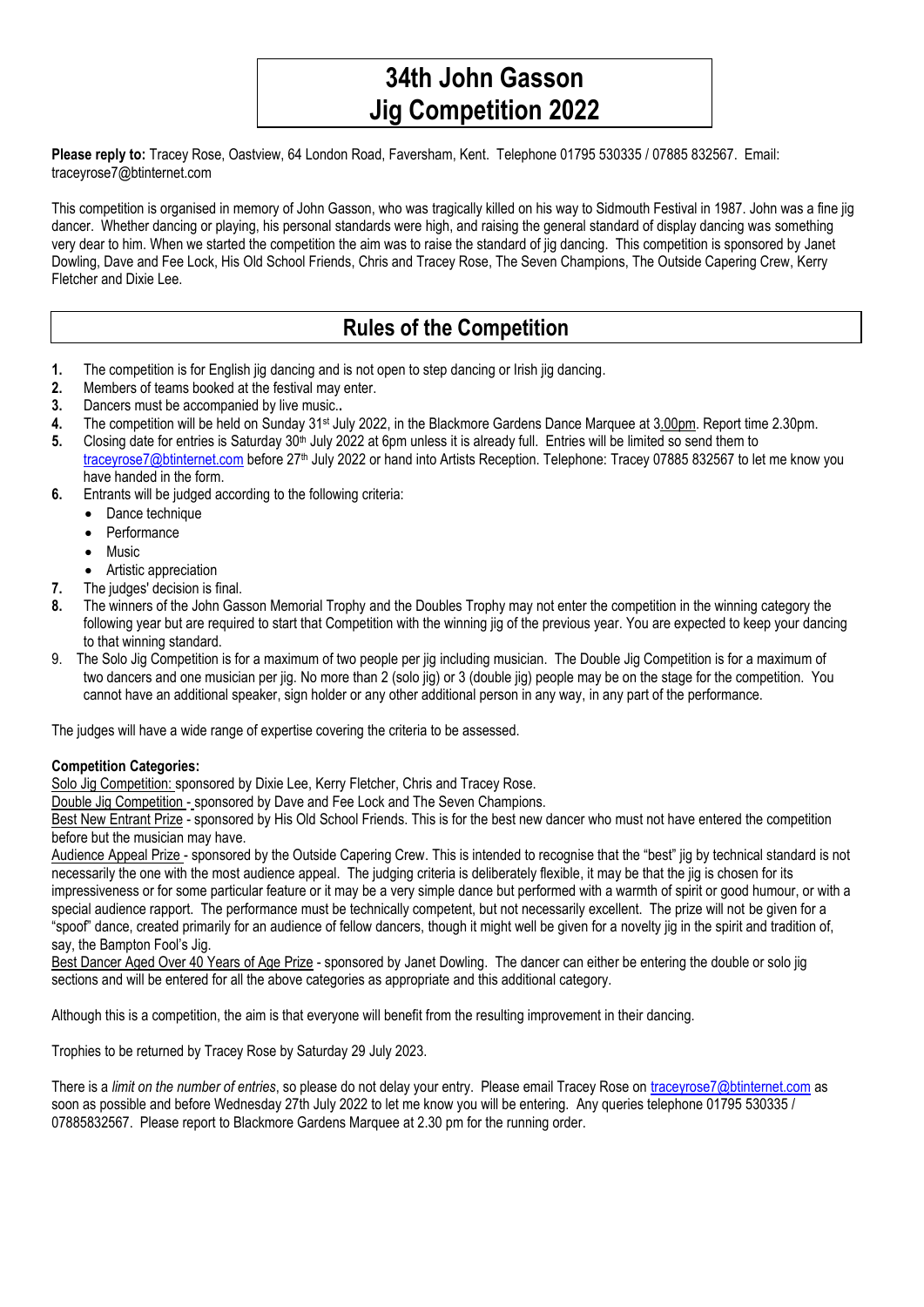## **34th John Gasson Jig Competition 2022**

**Please reply to:** Tracey Rose, Oastview, 64 London Road, Faversham, Kent. Telephone 01795 530335 / 07885 832567. Email: traceyrose7@btinternet.com

This competition is organised in memory of John Gasson, who was tragically killed on his way to Sidmouth Festival in 1987. John was a fine jig dancer. Whether dancing or playing, his personal standards were high, and raising the general standard of display dancing was something very dear to him. When we started the competition the aim was to raise the standard of jig dancing. This competition is sponsored by Janet Dowling, Dave and Fee Lock, His Old School Friends, Chris and Tracey Rose, The Seven Champions, The Outside Capering Crew, Kerry Fletcher and Dixie Lee.

## **Rules of the Competition**

- **1.** The competition is for English jig dancing and is not open to step dancing or Irish jig dancing.
- **2.** Members of teams booked at the festival may enter.
- **3.** Dancers must be accompanied by live music.**.**
- 4. The competition will be held on Sunday 31st July 2022, in the Blackmore Gardens Dance Marquee at 3<u>.00pm</u>. Report time 2.30pm.
- 5. Closing date for entries is Saturday 30<sup>th</sup> July 2022 at 6pm unless it is already full. Entries will be limited so send them to [traceyrose7@btinternet.com](mailto:traceyrose7@btinternet.com) before 27th July 2022 or hand into Artists Reception. Telephone: Tracey 07885 832567 to let me know you have handed in the form.
- **6.** Entrants will be judged according to the following criteria:
	- Dance technique
	- Performance
	- Music
	- Artistic appreciation
- **7.** The judges' decision is final.
- The winners of the John Gasson Memorial Trophy and the Doubles Trophy may not enter the competition in the winning category the following year but are required to start that Competition with the winning jig of the previous year. You are expected to keep your dancing to that winning standard.
- 9. The Solo Jig Competition is for a maximum of two people per jig including musician. The Double Jig Competition is for a maximum of two dancers and one musician per jig. No more than 2 (solo jig) or 3 (double jig) people may be on the stage for the competition. You cannot have an additional speaker, sign holder or any other additional person in any way, in any part of the performance.

The judges will have a wide range of expertise covering the criteria to be assessed.

## **Competition Categories:**

Solo Jig Competition: sponsored by Dixie Lee, Kerry Fletcher, Chris and Tracey Rose.

Double Jig Competition - sponsored by Dave and Fee Lock and The Seven Champions.

Best New Entrant Prize - sponsored by His Old School Friends. This is for the best new dancer who must not have entered the competition before but the musician may have.

Audience Appeal Prize - sponsored by the Outside Capering Crew. This is intended to recognise that the "best" jig by technical standard is not necessarily the one with the most audience appeal. The judging criteria is deliberately flexible, it may be that the jig is chosen for its impressiveness or for some particular feature or it may be a very simple dance but performed with a warmth of spirit or good humour, or with a special audience rapport. The performance must be technically competent, but not necessarily excellent. The prize will not be given for a "spoof" dance, created primarily for an audience of fellow dancers, though it might well be given for a novelty jig in the spirit and tradition of, say, the Bampton Fool's Jig.

Best Dancer Aged Over 40 Years of Age Prize - sponsored by Janet Dowling. The dancer can either be entering the double or solo jig sections and will be entered for all the above categories as appropriate and this additional category.

Although this is a competition, the aim is that everyone will benefit from the resulting improvement in their dancing.

Trophies to be returned by Tracey Rose by Saturday 29 July 2023.

There is a *limit on the number of entries*, so please do not delay your entry. Please email Tracey Rose on [traceyrose7@btinternet.com](mailto:traceyrose7@btinternet.com) as soon as possible and before Wednesday 27th July 2022 to let me know you will be entering. Any queries telephone 01795 530335 / 07885832567. Please report to Blackmore Gardens Marquee at 2.30 pm for the running order.